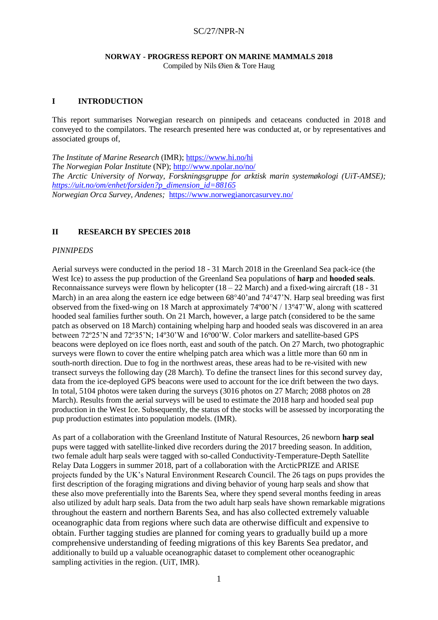# **NORWAY - PROGRESS REPORT ON MARINE MAMMALS 2018**

Compiled by Nils Øien & Tore Haug

# **I INTRODUCTION**

This report summarises Norwegian research on pinnipeds and cetaceans conducted in 2018 and conveyed to the compilators. The research presented here was conducted at, or by representatives and associated groups of,

*The Institute of Marine Research* (IMR); <https://www.hi.no/hi> *The Norwegian Polar Institute* (NP); <http://www.npolar.no/no/> *The Arctic University of Norway, Forskningsgruppe for arktisk marin systemøkologi (UiT-AMSE); [https://uit.no/om/enhet/forsiden?p\\_dimension\\_id=88165](https://uit.no/om/enhet/forsiden?p_dimension_id=88165) Norwegian Orca Survey, Andenes;* <https://www.norwegianorcasurvey.no/>

# **II RESEARCH BY SPECIES 2018**

# *PINNIPEDS*

Aerial surveys were conducted in the period 18 - 31 March 2018 in the Greenland Sea pack-ice (the West Ice) to assess the pup production of the Greenland Sea populations of **harp** and **hooded seals**. Reconnaissance surveys were flown by helicopter  $(18 – 22$  March) and a fixed-wing aircraft  $(18 – 31)$ March) in an area along the eastern ice edge between  $68^{\circ}40'$  and  $74^{\circ}47'N$ . Harp seal breeding was first observed from the fixed-wing on 18 March at approximately 74º00'N / 13º47'W, along with scattered hooded seal families further south. On 21 March, however, a large patch (considered to be the same patch as observed on 18 March) containing whelping harp and hooded seals was discovered in an area between 72º25'N and 72º35'N; 14º30'W and 16º00'W. Color markers and satellite-based GPS beacons were deployed on ice floes north, east and south of the patch. On 27 March, two photographic surveys were flown to cover the entire whelping patch area which was a little more than 60 nm in south-north direction. Due to fog in the northwest areas, these areas had to be re-visited with new transect surveys the following day (28 March). To define the transect lines for this second survey day, data from the ice-deployed GPS beacons were used to account for the ice drift between the two days. In total, 5104 photos were taken during the surveys (3016 photos on 27 March; 2088 photos on 28 March). Results from the aerial surveys will be used to estimate the 2018 harp and hooded seal pup production in the West Ice. Subsequently, the status of the stocks will be assessed by incorporating the pup production estimates into population models. (IMR).

As part of a collaboration with the Greenland Institute of Natural Resources, 26 newborn **harp seal** pups were tagged with satellite-linked dive recorders during the 2017 breeding season. In addition, two female adult harp seals were tagged with so-called Conductivity-Temperature-Depth Satellite Relay Data Loggers in summer 2018, part of a collaboration with the ArcticPRIZE and ARISE projects funded by the UK's Natural Environment Research Council. The 26 tags on pups provides the first description of the foraging migrations and diving behavior of young harp seals and show that these also move preferentially into the Barents Sea, where they spend several months feeding in areas also utilized by adult harp seals. Data from the two adult harp seals have shown remarkable migrations throughout the eastern and northern Barents Sea, and has also collected extremely valuable oceanographic data from regions where such data are otherwise difficult and expensive to obtain. Further tagging studies are planned for coming years to gradually build up a more comprehensive understanding of feeding migrations of this key Barents Sea predator, and additionally to build up a valuable oceanographic dataset to complement other oceanographic sampling activities in the region. (UiT, IMR).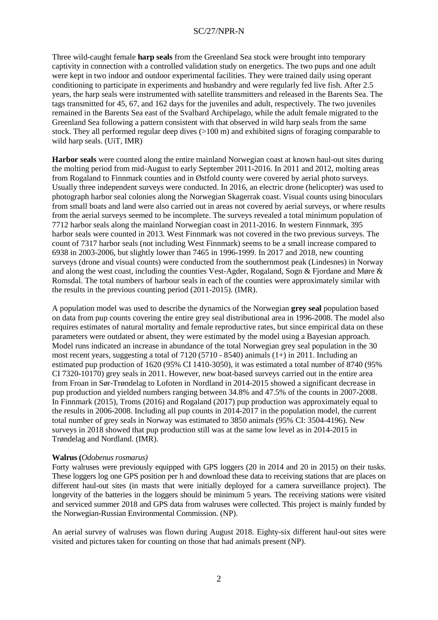Three wild-caught female **harp seals** from the Greenland Sea stock were brought into temporary captivity in connection with a controlled validation study on energetics. The two pups and one adult were kept in two indoor and outdoor experimental facilities. They were trained daily using operant conditioning to participate in experiments and husbandry and were regularly fed live fish. After 2.5 years, the harp seals were instrumented with satellite transmitters and released in the Barents Sea. The tags transmitted for 45, 67, and 162 days for the juveniles and adult, respectively. The two juveniles remained in the Barents Sea east of the Svalbard Archipelago, while the adult female migrated to the Greenland Sea following a pattern consistent with that observed in wild harp seals from the same stock. They all performed regular deep dives (>100 m) and exhibited signs of foraging comparable to wild harp seals. (UiT, IMR)

**Harbor seals** were counted along the entire mainland Norwegian coast at known haul-out sites during the molting period from mid-August to early September 2011-2016. In 2011 and 2012, molting areas from Rogaland to Finnmark counties and in Østfold county were covered by aerial photo surveys. Usually three independent surveys were conducted. In 2016, an electric drone (helicopter) was used to photograph harbor seal colonies along the Norwegian Skagerrak coast. Visual counts using binoculars from small boats and land were also carried out in areas not covered by aerial surveys, or where results from the aerial surveys seemed to be incomplete. The surveys revealed a total minimum population of 7712 harbor seals along the mainland Norwegian coast in 2011-2016. In western Finnmark, 395 harbor seals were counted in 2013. West Finnmark was not covered in the two previous surveys. The count of 7317 harbor seals (not including West Finnmark) seems to be a small increase compared to 6938 in 2003-2006, but slightly lower than 7465 in 1996-1999. In 2017 and 2018, new counting surveys (drone and visual counts) were conducted from the southernmost peak (Lindesnes) in Norway and along the west coast, including the counties Vest-Agder, Rogaland, Sogn & Fjordane and Møre  $\&$ Romsdal. The total numbers of harbour seals in each of the counties were approximately similar with the results in the previous counting period (2011-2015). (IMR).

A population model was used to describe the dynamics of the Norwegian **grey seal** population based on data from pup counts covering the entire grey seal distributional area in 1996-2008. The model also requires estimates of natural mortality and female reproductive rates, but since empirical data on these parameters were outdated or absent, they were estimated by the model using a Bayesian approach. Model runs indicated an increase in abundance of the total Norwegian grey seal population in the 30 most recent years, suggesting a total of 7120 (5710 - 8540) animals (1+) in 2011. Including an estimated pup production of 1620 (95% CI 1410-3050), it was estimated a total number of 8740 (95% CI 7320-10170) grey seals in 2011. However, new boat-based surveys carried out in the entire area from Froan in Sør-Trøndelag to Lofoten in Nordland in 2014-2015 showed a significant decrease in pup production and yielded numbers ranging between 34.8% and 47.5% of the counts in 2007-2008. In Finnmark (2015), Troms (2016) and Rogaland (2017) pup production was approximately equal to the results in 2006-2008. Including all pup counts in 2014-2017 in the population model, the current total number of grey seals in Norway was estimated to 3850 animals (95% CI: 3504-4196). New surveys in 2018 showed that pup production still was at the same low level as in 2014-2015 in Trøndelag and Nordland. (IMR).

#### **Walrus (***Odobenus rosmarus)*

Forty walruses were previously equipped with GPS loggers (20 in 2014 and 20 in 2015) on their tusks. These loggers log one GPS position per h and download these data to receiving stations that are places on different haul-out sites (in masts that were initially deployed for a camera surveillance project). The longevity of the batteries in the loggers should be minimum 5 years. The receiving stations were visited and serviced summer 2018 and GPS data from walruses were collected. This project is mainly funded by the Norwegian-Russian Environmental Commission. (NP).

An aerial survey of walruses was flown during August 2018. Eighty-six different haul-out sites were visited and pictures taken for counting on those that had animals present (NP).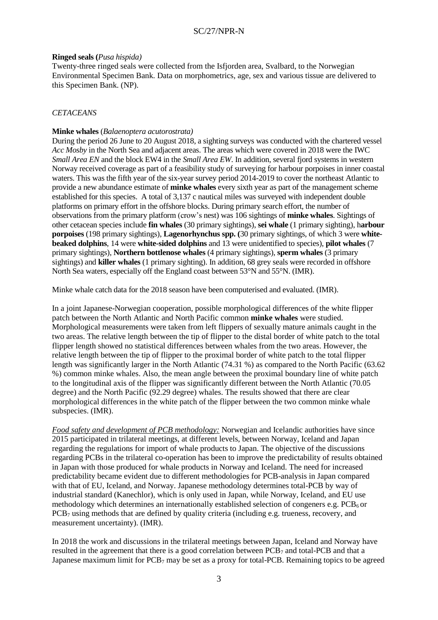### **Ringed seals (***Pusa hispida)*

Twenty-three ringed seals were collected from the Isfjorden area, Svalbard, to the Norwegian Environmental Specimen Bank. Data on morphometrics, age, sex and various tissue are delivered to this Specimen Bank. (NP).

### *CETACEANS*

#### **Minke whales** (*Balaenoptera acutorostrata)*

During the period 26 June to 20 August 2018, a sighting surveys was conducted with the chartered vessel *Acc Mosby* in the North Sea and adjacent areas. The areas which were covered in 2018 were the IWC *Small Area EN* and the block EW4 in the *Small Area EW*. In addition, several fiord systems in western Norway received coverage as part of a feasibility study of surveying for harbour porpoises in inner coastal waters. This was the fifth year of the six-year survey period 2014-2019 to cover the northeast Atlantic to provide a new abundance estimate of **minke whales** every sixth year as part of the management scheme established for this species. A total of 3,137 c nautical miles was surveyed with independent double platforms on primary effort in the offshore blocks. During primary search effort, the number of observations from the primary platform (crow's nest) was 106 sightings of **minke whales**. Sightings of other cetacean species include **fin whales** (30 primary sightings), **sei whale** (1 primary sighting), h**arbour porpoises** (198 primary sightings), **Lagenorhynchus spp. (**30 primary sightings, of which 3 were **whitebeaked dolphins**, 14 were **white-sided dolphins** and 13 were unidentified to species), **pilot whales** (7 primary sightings), **Northern bottlenose whales** (4 primary sightings), **sperm whales** (3 primary sightings) and **killer whales** (1 primary sighting). In addition, 68 grey seals were recorded in offshore North Sea waters, especially off the England coast between 53°N and 55°N. (IMR).

Minke whale catch data for the 2018 season have been computerised and evaluated. (IMR).

In a joint Japanese-Norwegian cooperation, possible morphological differences of the white flipper patch between the North Atlantic and North Pacific common **minke whales** were studied. Morphological measurements were taken from left flippers of sexually mature animals caught in the two areas. The relative length between the tip of flipper to the distal border of white patch to the total flipper length showed no statistical differences between whales from the two areas. However, the relative length between the tip of flipper to the proximal border of white patch to the total flipper length was significantly larger in the North Atlantic (74.31 %) as compared to the North Pacific (63.62 %) common minke whales. Also, the mean angle between the proximal boundary line of white patch to the longitudinal axis of the flipper was significantly different between the North Atlantic (70.05 degree) and the North Pacific (92.29 degree) whales. The results showed that there are clear morphological differences in the white patch of the flipper between the two common minke whale subspecies. (IMR).

*Food safety and development of PCB methodology:* Norwegian and Icelandic authorities have since 2015 participated in trilateral meetings, at different levels, between Norway, Iceland and Japan regarding the regulations for import of whale products to Japan. The objective of the discussions regarding PCBs in the trilateral co-operation has been to improve the predictability of results obtained in Japan with those produced for whale products in Norway and Iceland. The need for increased predictability became evident due to different methodologies for PCB-analysis in Japan compared with that of EU, Iceland, and Norway. Japanese methodology determines total-PCB by way of industrial standard (Kanechlor), which is only used in Japan, while Norway, Iceland, and EU use methodology which determines an internationally established selection of congeners e.g. PCB<sub>6</sub> or  $PCB<sub>7</sub>$  using methods that are defined by quality criteria (including e.g. trueness, recovery, and measurement uncertainty). (IMR).

In 2018 the work and discussions in the trilateral meetings between Japan, Iceland and Norway have resulted in the agreement that there is a good correlation between PCB<sup>7</sup> and total-PCB and that a Japanese maximum limit for  $PCB<sub>7</sub>$  may be set as a proxy for total-PCB. Remaining topics to be agreed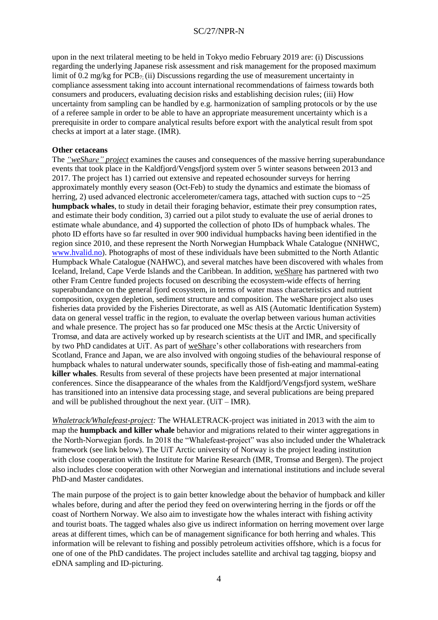upon in the next trilateral meeting to be held in Tokyo medio February 2019 are: (i) Discussions regarding the underlying Japanese risk assessment and risk management for the proposed maximum limit of 0.2 mg/kg for  $PCB_7$ ; (ii) Discussions regarding the use of measurement uncertainty in compliance assessment taking into account international recommendations of fairness towards both consumers and producers, evaluating decision risks and establishing decision rules; (iii) How uncertainty from sampling can be handled by e.g. harmonization of sampling protocols or by the use of a referee sample in order to be able to have an appropriate measurement uncertainty which is a prerequisite in order to compare analytical results before export with the analytical result from spot checks at import at a later stage. (IMR).

### **Other cetaceans**

The *"weShare" project* examines the causes and consequences of the massive herring superabundance events that took place in the Kaldfjord/Vengsfjord system over 5 winter seasons between 2013 and 2017. The project has 1) carried out extensive and repeated echosounder surveys for herring approximately monthly every season (Oct-Feb) to study the dynamics and estimate the biomass of herring, 2) used advanced electronic accelerometer/camera tags, attached with suction cups to ~25 **humpback whales**, to study in detail their foraging behavior, estimate their prey consumption rates, and estimate their body condition, 3) carried out a pilot study to evaluate the use of aerial drones to estimate whale abundance, and 4) supported the collection of photo IDs of humpback whales. The photo ID efforts have so far resulted in over 900 individual humpbacks having been identified in the region since 2010, and these represent the North Norwegian Humpback Whale Catalogue (NNHWC, [www.hvalid.no\)](http://www.hvalid.no/). Photographs of most of these individuals have been submitted to the North Atlantic Humpback Whale Catalogue (NAHWC), and several matches have been discovered with whales from Iceland, Ireland, Cape Verde Islands and the Caribbean. In addition, weShare has partnered with two other Fram Centre funded projects focused on describing the ecosystem-wide effects of herring superabundance on the general fjord ecosystem, in terms of water mass characteristics and nutrient composition, oxygen depletion, sediment structure and composition. The weShare project also uses fisheries data provided by the Fisheries Directorate, as well as AIS (Automatic Identification System) data on general vessel traffic in the region, to evaluate the overlap between various human activities and whale presence. The project has so far produced one MSc thesis at the Arctic University of Tromsø, and data are actively worked up by research scientists at the UiT and IMR, and specifically by two PhD candidates at UiT. As part of weShare's other collaborations with researchers from Scotland, France and Japan, we are also involved with ongoing studies of the behavioural response of humpback whales to natural underwater sounds, specifically those of fish-eating and mammal-eating **killer whales**. Results from several of these projects have been presented at major international conferences. Since the disappearance of the whales from the Kaldfjord/Vengsfjord system, weShare has transitioned into an intensive data processing stage, and several publications are being prepared and will be published throughout the next year.  $(UiT - IMR)$ .

*Whaletrack/Whalefeast-project:* The WHALETRACK-project was initiated in 2013 with the aim to map the **humpback and killer whale** behavior and migrations related to their winter aggregations in the North-Norwegian fjords. In 2018 the "Whalefeast-project" was also included under the Whaletrack framework (see link below). The UiT Arctic university of Norway is the project leading institution with close cooperation with the Institute for Marine Research (IMR, Tromsø and Bergen). The project also includes close cooperation with other Norwegian and international institutions and include several PhD-and Master candidates.

The main purpose of the project is to gain better knowledge about the behavior of humpback and killer whales before, during and after the period they feed on overwintering herring in the fjords or off the coast of Northern Norway. We also aim to investigate how the whales interact with fishing activity and tourist boats. The tagged whales also give us indirect information on herring movement over large areas at different times, which can be of management significance for both herring and whales. This information will be relevant to fishing and possibly petroleum activities offshore, which is a focus for one of one of the PhD candidates. The project includes satellite and archival tag tagging, biopsy and eDNA sampling and ID-picturing.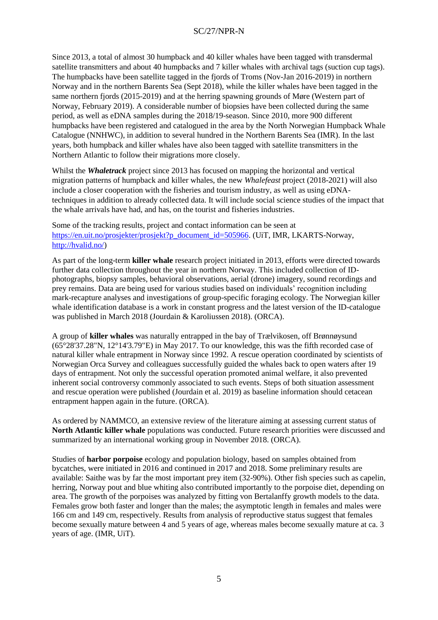Since 2013, a total of almost 30 humpback and 40 killer whales have been tagged with transdermal satellite transmitters and about 40 humpbacks and 7 killer whales with archival tags (suction cup tags). The humpbacks have been satellite tagged in the fjords of Troms (Nov-Jan 2016-2019) in northern Norway and in the northern Barents Sea (Sept 2018), while the killer whales have been tagged in the same northern fjords (2015-2019) and at the herring spawning grounds of Møre (Western part of Norway, February 2019). A considerable number of biopsies have been collected during the same period, as well as eDNA samples during the 2018/19-season. Since 2010, more 900 different humpbacks have been registered and catalogued in the area by the North Norwegian Humpback Whale Catalogue (NNHWC), in addition to several hundred in the Northern Barents Sea (IMR). In the last years, both humpback and killer whales have also been tagged with satellite transmitters in the Northern Atlantic to follow their migrations more closely.

Whilst the *Whaletrack* project since 2013 has focused on mapping the horizontal and vertical migration patterns of humpback and killer whales, the new *Whalefeast* project (2018-2021) will also include a closer cooperation with the fisheries and tourism industry, as well as using eDNAtechniques in addition to already collected data. It will include social science studies of the impact that the whale arrivals have had, and has, on the tourist and fisheries industries.

Some of the tracking results, project and contact information can be seen at [https://en.uit.no/prosjekter/prosjekt?p\\_document\\_id=505966.](https://en.uit.no/prosjekter/prosjekt?p_document_id=505966) (UiT, IMR, LKARTS-Norway, [http://hvalid.no/\)](http://hvalid.no/)

As part of the long-term **killer whale** research project initiated in 2013, efforts were directed towards further data collection throughout the year in northern Norway. This included collection of IDphotographs, biopsy samples, behavioral observations, aerial (drone) imagery, sound recordings and prey remains. Data are being used for various studies based on individuals' recognition including mark-recapture analyses and investigations of group-specific foraging ecology. The Norwegian killer whale identification database is a work in constant progress and the latest version of the ID-catalogue was published in March 2018 (Jourdain & Karoliussen 2018). (ORCA).

A group of **killer whales** was naturally entrapped in the bay of Trælvikosen, off Brønnøysund (65°28'37.28"N, 12°14'3.79"E) in May 2017. To our knowledge, this was the fifth recorded case of natural killer whale entrapment in Norway since 1992. A rescue operation coordinated by scientists of Norwegian Orca Survey and colleagues successfully guided the whales back to open waters after 19 days of entrapment. Not only the successful operation promoted animal welfare, it also prevented inherent social controversy commonly associated to such events. Steps of both situation assessment and rescue operation were published (Jourdain et al. 2019) as baseline information should cetacean entrapment happen again in the future. (ORCA).

As ordered by NAMMCO, an extensive review of the literature aiming at assessing current status of **North Atlantic killer whale** populations was conducted. Future research priorities were discussed and summarized by an international working group in November 2018. (ORCA).

Studies of **harbor porpoise** ecology and population biology, based on samples obtained from bycatches, were initiated in 2016 and continued in 2017 and 2018. Some preliminary results are available: Saithe was by far the most important prey item (32-90%). Other fish species such as capelin, herring, Norway pout and blue whiting also contributed importantly to the porpoise diet, depending on area. The growth of the porpoises was analyzed by fitting von Bertalanffy growth models to the data. Females grow both faster and longer than the males; the asymptotic length in females and males were 166 cm and 149 cm, respectively. Results from analysis of reproductive status suggest that females become sexually mature between 4 and 5 years of age, whereas males become sexually mature at ca. 3 years of age. (IMR, UiT).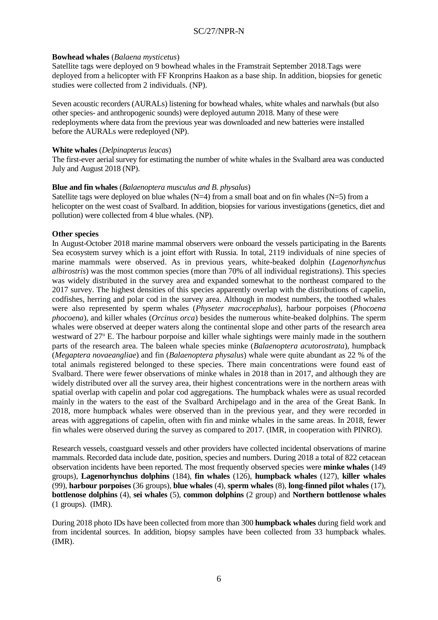### **Bowhead whales** (*Balaena mysticetus*)

Satellite tags were deployed on 9 bowhead whales in the Framstrait September 2018.Tags were deployed from a helicopter with FF Kronprins Haakon as a base ship. In addition, biopsies for genetic studies were collected from 2 individuals. (NP).

Seven acoustic recorders (AURALs) listening for bowhead whales, white whales and narwhals (but also other species- and anthropogenic sounds) were deployed autumn 2018. Many of these were redeployments where data from the previous year was downloaded and new batteries were installed before the AURALs were redeployed (NP).

### **White whales** (*Delpinapterus leucas*)

The first-ever aerial survey for estimating the number of white whales in the Svalbard area was conducted July and August 2018 (NP).

# **Blue and fin whales** (*Balaenoptera musculus and B. physalus*)

Satellite tags were deployed on blue whales  $(N=4)$  from a small boat and on fin whales  $(N=5)$  from a helicopter on the west coast of Svalbard. In addition, biopsies for various investigations (genetics, diet and pollution) were collected from 4 blue whales. (NP).

# **Other species**

In August-October 2018 marine mammal observers were onboard the vessels participating in the Barents Sea ecosystem survey which is a joint effort with Russia. In total, 2119 individuals of nine species of marine mammals were observed. As in previous years, white-beaked dolphin (*Lagenorhynchus albirostris*) was the most common species (more than 70% of all individual registrations). This species was widely distributed in the survey area and expanded somewhat to the northeast compared to the 2017 survey. The highest densities of this species apparently overlap with the distributions of capelin, codfishes, herring and polar cod in the survey area. Although in modest numbers, the toothed whales were also represented by sperm whales (*Physeter macrocephalus*)*,* harbour porpoises (*Phocoena phocoena*), and killer whales (*Orcinus orca*) besides the numerous white-beaked dolphins. The sperm whales were observed at deeper waters along the continental slope and other parts of the research area westward of 27<sup>o</sup> E. The harbour porpoise and killer whale sightings were mainly made in the southern parts of the research area. The baleen whale species minke (*Balaenoptera acutorostrata*), humpback (*Megaptera novaeangliae*) and fin (*Balaenoptera physalus*) whale were quite abundant as 22 % of the total animals registered belonged to these species. There main concentrations were found east of Svalbard. There were fewer observations of minke whales in 2018 than in 2017, and although they are widely distributed over all the survey area, their highest concentrations were in the northern areas with spatial overlap with capelin and polar cod aggregations. The humpback whales were as usual recorded mainly in the waters to the east of the Svalbard Archipelago and in the area of the Great Bank. In 2018, more humpback whales were observed than in the previous year, and they were recorded in areas with aggregations of capelin, often with fin and minke whales in the same areas. In 2018, fewer fin whales were observed during the survey as compared to 2017. (IMR, in cooperation with PINRO).

Research vessels, coastguard vessels and other providers have collected incidental observations of marine mammals. Recorded data include date, position, species and numbers. During 2018 a total of 822 cetacean observation incidents have been reported. The most frequently observed species were **minke whales** (149 groups), **Lagenorhynchus dolphins** (184), **fin whales** (126), **humpback whales** (127), **killer whales** (99), **harbour porpoises** (36 groups), **blue whales** (4), **sperm whales** (8), **long-finned pilot whales** (17), **bottlenose dolphins** (4), **sei whales** (5), **common dolphins** (2 group) and **Northern bottlenose whales** (1 groups). (IMR).

During 2018 photo IDs have been collected from more than 300 **humpback whales** during field work and from incidental sources. In addition, biopsy samples have been collected from 33 humpback whales. (IMR).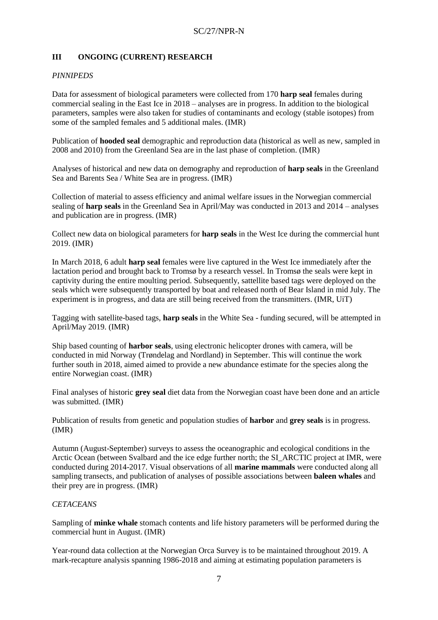# **III ONGOING (CURRENT) RESEARCH**

# *PINNIPEDS*

Data for assessment of biological parameters were collected from 170 **harp seal** females during commercial sealing in the East Ice in 2018 – analyses are in progress. In addition to the biological parameters, samples were also taken for studies of contaminants and ecology (stable isotopes) from some of the sampled females and 5 additional males. (IMR)

Publication of **hooded seal** demographic and reproduction data (historical as well as new, sampled in 2008 and 2010) from the Greenland Sea are in the last phase of completion. (IMR)

Analyses of historical and new data on demography and reproduction of **harp seals** in the Greenland Sea and Barents Sea / White Sea are in progress. (IMR)

Collection of material to assess efficiency and animal welfare issues in the Norwegian commercial sealing of **harp seals** in the Greenland Sea in April/May was conducted in 2013 and 2014 – analyses and publication are in progress. (IMR)

Collect new data on biological parameters for **harp seals** in the West Ice during the commercial hunt 2019. (IMR)

In March 2018, 6 adult **harp seal** females were live captured in the West Ice immediately after the lactation period and brought back to Tromsø by a research vessel. In Tromsø the seals were kept in captivity during the entire moulting period. Subsequently, sattellite based tags were deployed on the seals which were subsequently transported by boat and released north of Bear Island in mid July. The experiment is in progress, and data are still being received from the transmitters. (IMR, UiT)

Tagging with satellite-based tags, **harp seals** in the White Sea - funding secured, will be attempted in April/May 2019. (IMR)

Ship based counting of **harbor seals**, using electronic helicopter drones with camera, will be conducted in mid Norway (Trøndelag and Nordland) in September. This will continue the work further south in 2018, aimed aimed to provide a new abundance estimate for the species along the entire Norwegian coast. (IMR)

Final analyses of historic **grey seal** diet data from the Norwegian coast have been done and an article was submitted. (IMR)

Publication of results from genetic and population studies of **harbor** and **grey seals** is in progress. (IMR)

Autumn (August-September) surveys to assess the oceanographic and ecological conditions in the Arctic Ocean (between Svalbard and the ice edge further north; the SI\_ARCTIC project at IMR, were conducted during 2014-2017. Visual observations of all **marine mammals** were conducted along all sampling transects, and publication of analyses of possible associations between **baleen whales** and their prey are in progress. (IMR)

### *CETACEANS*

Sampling of **minke whale** stomach contents and life history parameters will be performed during the commercial hunt in August. (IMR)

Year-round data collection at the Norwegian Orca Survey is to be maintained throughout 2019. A mark-recapture analysis spanning 1986-2018 and aiming at estimating population parameters is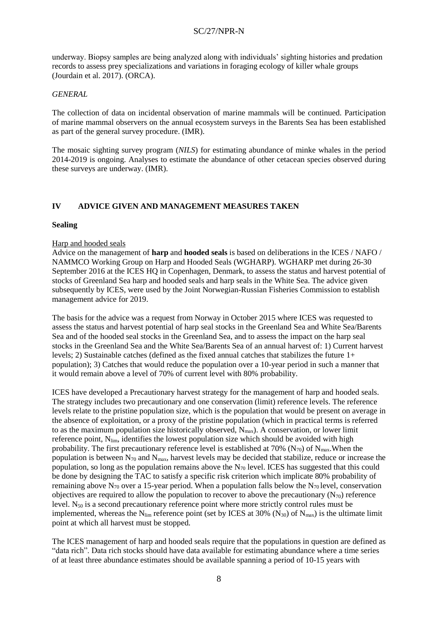underway. Biopsy samples are being analyzed along with individuals' sighting histories and predation records to assess prey specializations and variations in foraging ecology of killer whale groups (Jourdain et al. 2017). (ORCA).

### *GENERAL*

The collection of data on incidental observation of marine mammals will be continued. Participation of marine mammal observers on the annual ecosystem surveys in the Barents Sea has been established as part of the general survey procedure. (IMR).

The mosaic sighting survey program (*NILS*) for estimating abundance of minke whales in the period 2014-2019 is ongoing. Analyses to estimate the abundance of other cetacean species observed during these surveys are underway. (IMR).

# **IV ADVICE GIVEN AND MANAGEMENT MEASURES TAKEN**

#### **Sealing**

#### Harp and hooded seals

Advice on the management of **harp** and **hooded seals** is based on deliberations in the ICES / NAFO / NAMMCO Working Group on Harp and Hooded Seals (WGHARP). WGHARP met during 26-30 September 2016 at the ICES HQ in Copenhagen, Denmark, to assess the status and harvest potential of stocks of Greenland Sea harp and hooded seals and harp seals in the White Sea. The advice given subsequently by ICES, were used by the Joint Norwegian-Russian Fisheries Commission to establish management advice for 2019.

The basis for the advice was a request from Norway in October 2015 where ICES was requested to assess the status and harvest potential of harp seal stocks in the Greenland Sea and White Sea/Barents Sea and of the hooded seal stocks in the Greenland Sea, and to assess the impact on the harp seal stocks in the Greenland Sea and the White Sea/Barents Sea of an annual harvest of: 1) Current harvest levels; 2) Sustainable catches (defined as the fixed annual catches that stabilizes the future 1+ population); 3) Catches that would reduce the population over a 10-year period in such a manner that it would remain above a level of 70% of current level with 80% probability.

ICES have developed a Precautionary harvest strategy for the management of harp and hooded seals. The strategy includes two precautionary and one conservation (limit) reference levels. The reference levels relate to the pristine population size, which is the population that would be present on average in the absence of exploitation, or a proxy of the pristine population (which in practical terms is referred to as the maximum population size historically observed,  $N_{max}$ ). A conservation, or lower limit reference point, N<sub>lim</sub>, identifies the lowest population size which should be avoided with high probability. The first precautionary reference level is established at 70% (N<sub>70</sub>) of N<sub>max</sub>. When the population is between  $N_{70}$  and  $N_{max}$ , harvest levels may be decided that stabilize, reduce or increase the population, so long as the population remains above the  $N_{70}$  level. ICES has suggested that this could be done by designing the TAC to satisfy a specific risk criterion which implicate 80% probability of remaining above  $N_{70}$  over a 15-year period. When a population falls below the  $N_{70}$  level, conservation objectives are required to allow the population to recover to above the precautionary  $(N_{70})$  reference level.  $N_{50}$  is a second precautionary reference point where more strictly control rules must be implemented, whereas the N<sub>lim</sub> reference point (set by ICES at 30% (N<sub>30</sub>) of N<sub>max</sub>) is the ultimate limit point at which all harvest must be stopped.

The ICES management of harp and hooded seals require that the populations in question are defined as "data rich". Data rich stocks should have data available for estimating abundance where a time series of at least three abundance estimates should be available spanning a period of 10-15 years with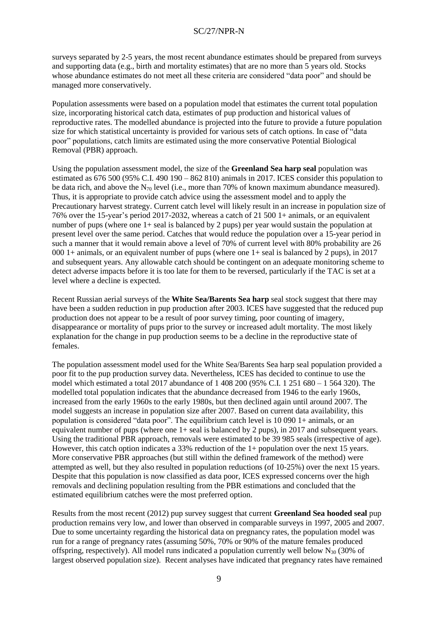surveys separated by 2-5 years, the most recent abundance estimates should be prepared from surveys and supporting data (e.g., birth and mortality estimates) that are no more than 5 years old. Stocks whose abundance estimates do not meet all these criteria are considered "data poor" and should be managed more conservatively.

Population assessments were based on a population model that estimates the current total population size, incorporating historical catch data, estimates of pup production and historical values of reproductive rates. The modelled abundance is projected into the future to provide a future population size for which statistical uncertainty is provided for various sets of catch options. In case of "data poor" populations, catch limits are estimated using the more conservative Potential Biological Removal (PBR) approach.

Using the population assessment model, the size of the **Greenland Sea harp seal** population was estimated as 676 500 (95% C.I. 490 190 – 862 810) animals in 2017. ICES consider this population to be data rich, and above the N<sup>70</sup> level (i.e., more than 70% of known maximum abundance measured). Thus, it is appropriate to provide catch advice using the assessment model and to apply the Precautionary harvest strategy. Current catch level will likely result in an increase in population size of 76% over the 15-year's period 2017-2032, whereas a catch of 21 500 1+ animals, or an equivalent number of pups (where one 1+ seal is balanced by 2 pups) per year would sustain the population at present level over the same period. Catches that would reduce the population over a 15-year period in such a manner that it would remain above a level of 70% of current level with 80% probability are 26 000 1+ animals, or an equivalent number of pups (where one 1+ seal is balanced by 2 pups), in 2017 and subsequent years. Any allowable catch should be contingent on an adequate monitoring scheme to detect adverse impacts before it is too late for them to be reversed, particularly if the TAC is set at a level where a decline is expected.

Recent Russian aerial surveys of the **White Sea/Barents Sea harp** seal stock suggest that there may have been a sudden reduction in pup production after 2003. ICES have suggested that the reduced pup production does not appear to be a result of poor survey timing, poor counting of imagery, disappearance or mortality of pups prior to the survey or increased adult mortality. The most likely explanation for the change in pup production seems to be a decline in the reproductive state of females.

The population assessment model used for the White Sea/Barents Sea harp seal population provided a poor fit to the pup production survey data. Nevertheless, ICES has decided to continue to use the model which estimated a total 2017 abundance of 1 408 200 (95% C.I. 1 251 680 – 1 564 320). The modelled total population indicates that the abundance decreased from 1946 to the early 1960s, increased from the early 1960s to the early 1980s, but then declined again until around 2007. The model suggests an increase in population size after 2007. Based on current data availability, this population is considered "data poor". The equilibrium catch level is 10 090 1+ animals, or an equivalent number of pups (where one  $1+$  seal is balanced by 2 pups), in 2017 and subsequent years. Using the traditional PBR approach, removals were estimated to be 39 985 seals (irrespective of age). However, this catch option indicates a 33% reduction of the 1+ population over the next 15 years. More conservative PBR approaches (but still within the defined framework of the method) were attempted as well, but they also resulted in population reductions (of 10-25%) over the next 15 years. Despite that this population is now classified as data poor, ICES expressed concerns over the high removals and declining population resulting from the PBR estimations and concluded that the estimated equilibrium catches were the most preferred option.

Results from the most recent (2012) pup survey suggest that current **Greenland Sea hooded seal** pup production remains very low, and lower than observed in comparable surveys in 1997, 2005 and 2007. Due to some uncertainty regarding the historical data on pregnancy rates, the population model was run for a range of pregnancy rates (assuming 50%, 70% or 90% of the mature females produced offspring, respectively). All model runs indicated a population currently well below  $N_{30}$  (30% of largest observed population size). Recent analyses have indicated that pregnancy rates have remained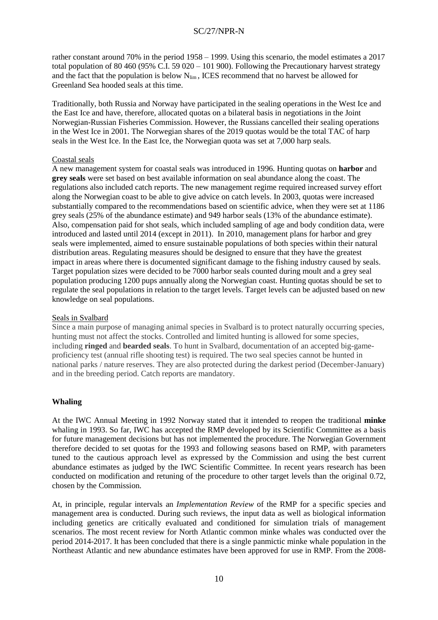rather constant around 70% in the period 1958 – 1999. Using this scenario, the model estimates a 2017 total population of 80 460 (95% C.I. 59 020 – 101 900). Following the Precautionary harvest strategy and the fact that the population is below N<sub>lim</sub>, ICES recommend that no harvest be allowed for Greenland Sea hooded seals at this time.

Traditionally, both Russia and Norway have participated in the sealing operations in the West Ice and the East Ice and have, therefore, allocated quotas on a bilateral basis in negotiations in the Joint Norwegian-Russian Fisheries Commission. However, the Russians cancelled their sealing operations in the West Ice in 2001. The Norwegian shares of the 2019 quotas would be the total TAC of harp seals in the West Ice. In the East Ice, the Norwegian quota was set at 7,000 harp seals.

# Coastal seals

A new management system for coastal seals was introduced in 1996. Hunting quotas on **harbor** and **grey seals** were set based on best available information on seal abundance along the coast. The regulations also included catch reports. The new management regime required increased survey effort along the Norwegian coast to be able to give advice on catch levels. In 2003, quotas were increased substantially compared to the recommendations based on scientific advice, when they were set at 1186 grey seals (25% of the abundance estimate) and 949 harbor seals (13% of the abundance estimate). Also, compensation paid for shot seals, which included sampling of age and body condition data, were introduced and lasted until 2014 (except in 2011). In 2010, management plans for harbor and grey seals were implemented, aimed to ensure sustainable populations of both species within their natural distribution areas. Regulating measures should be designed to ensure that they have the greatest impact in areas where there is documented significant damage to the fishing industry caused by seals. Target population sizes were decided to be 7000 harbor seals counted during moult and a grey seal population producing 1200 pups annually along the Norwegian coast. Hunting quotas should be set to regulate the seal populations in relation to the target levels. Target levels can be adjusted based on new knowledge on seal populations.

### Seals in Svalbard

Since a main purpose of managing animal species in Svalbard is to protect naturally occurring species, hunting must not affect the stocks. Controlled and limited hunting is allowed for some species, including **ringed** and **bearded seals**. To hunt in Svalbard, documentation of an accepted big-gameproficiency test (annual rifle shooting test) is required. The two seal species cannot be hunted in national parks / nature reserves. They are also protected during the darkest period (December-January) and in the breeding period. Catch reports are mandatory.

# **Whaling**

At the IWC Annual Meeting in 1992 Norway stated that it intended to reopen the traditional **minke** whaling in 1993. So far, IWC has accepted the RMP developed by its Scientific Committee as a basis for future management decisions but has not implemented the procedure. The Norwegian Government therefore decided to set quotas for the 1993 and following seasons based on RMP, with parameters tuned to the cautious approach level as expressed by the Commission and using the best current abundance estimates as judged by the IWC Scientific Committee. In recent years research has been conducted on modification and retuning of the procedure to other target levels than the original 0.72, chosen by the Commission.

At, in principle, regular intervals an *Implementation Review* of the RMP for a specific species and management area is conducted. During such reviews, the input data as well as biological information including genetics are critically evaluated and conditioned for simulation trials of management scenarios. The most recent review for North Atlantic common minke whales was conducted over the period 2014-2017. It has been concluded that there is a single panmictic minke whale population in the Northeast Atlantic and new abundance estimates have been approved for use in RMP. From the 2008-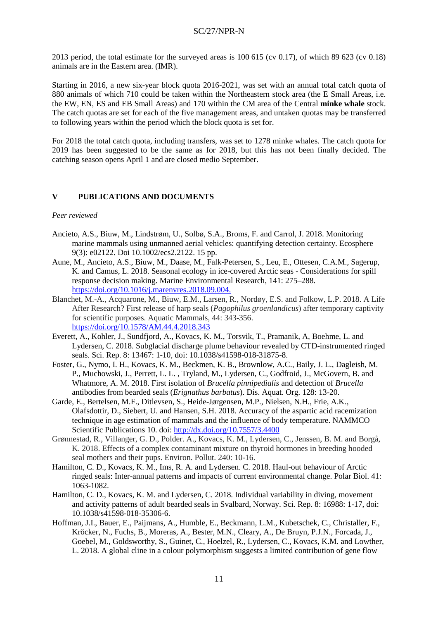2013 period, the total estimate for the surveyed areas is 100 615 (cv 0.17), of which 89 623 (cv 0.18) animals are in the Eastern area. (IMR).

Starting in 2016, a new six-year block quota 2016-2021, was set with an annual total catch quota of 880 animals of which 710 could be taken within the Northeastern stock area (the E Small Areas, i.e. the EW, EN, ES and EB Small Areas) and 170 within the CM area of the Central **minke whale** stock. The catch quotas are set for each of the five management areas, and untaken quotas may be transferred to following years within the period which the block quota is set for.

For 2018 the total catch quota, including transfers, was set to 1278 minke whales. The catch quota for 2019 has been suggested to be the same as for 2018, but this has not been finally decided. The catching season opens April 1 and are closed medio September.

### **V PUBLICATIONS AND DOCUMENTS**

#### *Peer reviewed*

- Ancieto, A.S., Biuw, M., Lindstrøm, U., Solbø, S.A., Broms, F. and Carrol, J. 2018. Monitoring marine mammals using unmanned aerial vehicles: quantifying detection certainty. Ecosphere 9(3): e02122. Doi 10.1002/ecs2.2122. 15 pp.
- Aune, M., Ancieto, A.S., Biuw, M., Daase, M., Falk-Petersen, S., Leu, E., Ottesen, C.A.M., Sagerup, K. and Camus, L. 2018. Seasonal ecology in ice-covered Arctic seas - Considerations for spill response decision making. Marine Environmental Research, 141: 275–288. [https://doi.org/10.1016/j.marenvres.2018.09.004.](https://doi.org/10.1016/j.marenvres.2018.09.004)
- Blanchet, M.-A., Acquarone, M., Biuw, E.M., Larsen, R., Nordøy, E.S. and Folkow, L.P. 2018. A Life After Research? First release of harp seals (*Pagophilus groenlandicus*) after temporary captivity for scientific purposes. Aquatic Mammals, 44: 343-356. <https://doi.org/10.1578/AM.44.4.2018.343>
- Everett, A., Kohler, J., Sundfjord, A., Kovacs, K. M., Torsvik, T., Pramanik, A, Boehme, L. and Lydersen, C. 2018. Subglacial discharge plume behaviour revealed by CTD-instrumented ringed seals. Sci. Rep. 8: 13467: 1-10, doi: 10.1038/s41598-018-31875-8.
- Foster, G., Nymo, I. H., Kovacs, K. M., Beckmen, K. B., Brownlow, A.C., Baily, J. L., Dagleish, M. P., Muchowski, J., Perrett, L. L. , Tryland, M., Lydersen, C., Godfroid, J., McGovern, B. and Whatmore, A. M. 2018. First isolation of *Brucella pinnipedialis* and detection of *Brucella*  antibodies from bearded seals (*Erignathus barbatus*). Dis. Aquat. Org. 128: 13-20.
- Garde, E., Bertelsen, M.F., Ditlevsen, S., Heide-Jørgensen, M.P., Nielsen, N.H., Frie, A.K., Olafsdottir, D., Siebert, U. and Hansen, S.H. 2018. Accuracy of the aspartic acid racemization technique in age estimation of mammals and the influence of body temperature. NAMMCO Scientific Publications 10. doi:<http://dx.doi.org/10.7557/3.4400>
- Grønnestad, R., Villanger, G. D., Polder. A., Kovacs, K. M., Lydersen, C., Jenssen, B. M. and Borgå, K. 2018. Effects of a complex contaminant mixture on thyroid hormones in breeding hooded seal mothers and their pups. Environ. Pollut. 240: 10-16.
- Hamilton, C. D., Kovacs, K. M., Ims, R. A. and Lydersen. C. 2018. Haul-out behaviour of Arctic ringed seals: Inter-annual patterns and impacts of current environmental change. Polar Biol. 41: 1063-1082.
- Hamilton, C. D., Kovacs, K. M. and Lydersen, C. 2018. Individual variability in diving, movement and activity patterns of adult bearded seals in Svalbard, Norway. Sci. Rep. 8: 16988: 1-17, doi: 10.1038/s41598-018-35306-6.
- Hoffman, J.I., Bauer, E., Paijmans, A., Humble, E., Beckmann, L.M., Kubetschek, C., Christaller, F., Kröcker, N., Fuchs, B., Moreras, A., Bester, M.N., Cleary, A., De Bruyn, P.J.N., Forcada, J., Goebel, M., Goldsworthy, S., Guinet, C., Hoelzel, R., Lydersen, C., Kovacs, K.M. and Lowther, L. 2018. A global cline in a colour polymorphism suggests a limited contribution of gene flow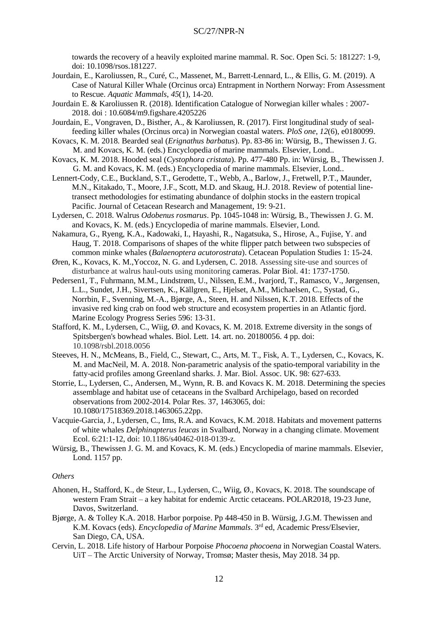towards the recovery of a heavily exploited marine mammal. R. Soc. Open Sci. 5: 181227: 1-9, doi: 10.1098/rsos.181227.

- Jourdain, E., Karoliussen, R., Curé, C., Massenet, M., Barrett-Lennard, L., & Ellis, G. M. (2019). A Case of Natural Killer Whale (Orcinus orca) Entrapment in Northern Norway: From Assessment to Rescue. *Aquatic Mammals*, *45*(1), 14-20.
- Jourdain E. & Karoliussen R. (2018). Identification Catalogue of Norwegian killer whales : 2007- 2018. doi : 10.6084/m9.figshare.4205226
- Jourdain, E., Vongraven, D., Bisther, A., & Karoliussen, R. (2017). First longitudinal study of sealfeeding killer whales (Orcinus orca) in Norwegian coastal waters. *PloS one*, *12*(6), e0180099.
- Kovacs, K. M. 2018. Bearded seal (*Erignathus barbatus*). Pp. 83-86 in: Würsig, B., Thewissen J. G. M. and Kovacs, K. M. (eds.) Encyclopedia of marine mammals. Elsevier, Lond..
- Kovacs, K. M. 2018. Hooded seal (*Cystophora cristata*). Pp. 477-480 Pp. in: Würsig, B., Thewissen J. G. M. and Kovacs, K. M. (eds.) Encyclopedia of marine mammals. Elsevier, Lond..
- Lennert-Cody, C.E., Buckland, S.T., Gerodette, T., Webb, A., Barlow, J., Fretwell, P.T., Maunder, M.N., Kitakado, T., Moore, J.F., Scott, M.D. and Skaug, H.J. 2018. Review of potential linetransect methodologies for estimating abundance of dolphin stocks in the eastern tropical Pacific. Journal of Cetacean Research and Management, 19: 9-21.
- Lydersen, C. 2018. Walrus *Odobenus rosmarus*. Pp. 1045-1048 in: Würsig, B., Thewissen J. G. M. and Kovacs, K. M. (eds.) Encyclopedia of marine mammals. Elsevier, Lond.
- Nakamura, G., Ryeng, K.A., Kadowaki, I., Hayashi, R., Nagatsuka, S., Hirose, A., Fujise, Y. and Haug, T. 2018. Comparisons of shapes of the white flipper patch between two subspecies of common minke whales (*Balaenoptera acutorostrata*). Cetacean Population Studies 1: 15-24.
- Øren, K., Kovacs, K. M.,Yoccoz, N. G. and Lydersen, C. 2018. Assessing site-use and sources of disturbance at walrus haul-outs using monitoring cameras. Polar Biol. 41: 1737-1750.
- Pedersen1, T., Fuhrmann, M.M., Lindstrøm, U., Nilssen, E.M., Ivarjord, T., Ramasco, V., Jørgensen, L.L., Sundet, J.H., Sivertsen, K., Källgren, E., Hjelset, A.M., Michaelsen, C., Systad, G., Norrbin, F., Svenning, M.-A., Bjørge, A., Steen, H. and Nilssen, K.T. 2018. Effects of the invasive red king crab on food web structure and ecosystem properties in an Atlantic fjord. Marine Ecology Progress Series 596: 13-31.
- Stafford, K. M., Lydersen, C., Wiig, Ø. and Kovacs, K. M. 2018. Extreme diversity in the songs of Spitsbergen's bowhead whales. Biol. Lett. 14. art. no. 20180056. 4 pp. doi: 10.1098/rsbl.2018.0056
- Steeves, H. N., McMeans, B., Field, C., Stewart, C., Arts, M. T., Fisk, A. T., Lydersen, C., Kovacs, K. M. and MacNeil, M. A. 2018. [Non-parametric analysis of the spatio-temporal variability in the](https://www.cambridge.org/core/product/A7D6D77028AC7CAB9E23FC36BF1E461A)  [fatty-acid profiles among Greenland sharks. J. Mar. Biol. Assoc. UK. 98: 627-633.](https://www.cambridge.org/core/product/A7D6D77028AC7CAB9E23FC36BF1E461A)
- Storrie, L., Lydersen, C., Andersen, M., Wynn, R. B. and Kovacs K. M. 2018. Determining the species assemblage and habitat use of cetaceans in the Svalbard Archipelago, based on recorded observations from 2002-2014. Polar Res. 37, 1463065, doi: 10.1080/17518369.2018.1463065.22pp.
- Vacquie-Garcia, J., Lydersen, C., Ims, R.A. and Kovacs, K.M. 2018. Habitats and movement patterns of white whales *Delphinapterus leucas* in Svalbard, Norway in a changing climate. Movement Ecol. 6:21:1-12, doi: 10.1186/s40462-018-0139-z.
- Würsig, B., Thewissen J. G. M. and Kovacs, K. M. (eds.) Encyclopedia of marine mammals. Elsevier, Lond. 1157 pp.

#### *Others*

- Ahonen, H., Stafford, K., de Steur, L., Lydersen, C., Wiig, Ø., Kovacs, K. 2018. The soundscape of western Fram Strait – a key habitat for endemic Arctic cetaceans. POLAR2018, 19-23 June, Davos, Switzerland.
- Bjørge, A. & Tolley K.A. 2018. Harbor porpoise. Pp 448-450 in B. Würsig, J.G.M. Thewissen and K.M. Kovacs (eds). *Encyclopedia of Marine Mammals*. 3<sup>rd</sup> ed, Academic Press/Elsevier, San Diego, CA, USA.
- Cervin, L. 2018. Life history of Harbour Porpoise *Phocoena phocoena* in Norwegian Coastal Waters. UiT – The Arctic University of Norway, Tromsø; Master thesis, May 2018. 34 pp.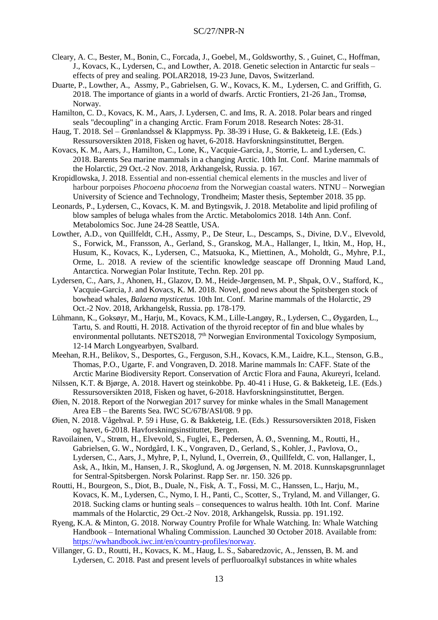- Cleary, A. C., Bester, M., Bonin, C., Forcada, J., Goebel, M., Goldsworthy, S. , Guinet, C., Hoffman, J., Kovacs, K., Lydersen, C., and Lowther, A. 2018. Genetic selection in Antarctic fur seals – effects of prey and sealing. POLAR2018, 19-23 June, Davos, Switzerland.
- Duarte, P., Lowther, A., Assmy, P., Gabrielsen, G. W., Kovacs, K. M., Lydersen, C. and Griffith, G. 2018. The importance of giants in a world of dwarfs. Arctic Frontiers, 21-26 Jan., Tromsø, Norway.
- Hamilton, C. D., Kovacs, K. M., Aars, J. Lydersen, C. and Ims, R. A. 2018. Polar bears and ringed seals "decoupling" in a changing Arctic. Fram Forum 2018. Research Notes: 28-31.
- Haug, T. 2018. Sel Grønlandssel & Klappmyss. Pp. 38-39 i Huse, G. & Bakketeig, I.E. (Eds.) Ressursoversikten 2018, Fisken og havet, 6-2018. Havforskningsinstituttet, Bergen.
- Kovacs, K. M., Aars, J., Hamilton, C., Lone, K., Vacquie-Garcia, J., Storrie, L. and Lydersen, C. 2018. Barents Sea marine mammals in a changing Arctic. 10th Int. Conf. Marine mammals of the Holarctic, 29 Oct.-2 Nov. 2018, Arkhangelsk, Russia. p. 167.
- Kropidlowska, J. 2018. Essential and non-essential chemical elements in the muscles and liver of harbour porpoises *Phocoena phocoena* from the Norwegian coastal waters. NTNU – Norwegian University of Science and Technology, Trondheim; Master thesis, September 2018. 35 pp.
- Leonards, P., Lydersen, C., Kovacs, K. M. and Bytingsvik, J. 2018. Metabolite and lipid profiling of blow samples of beluga whales from the Arctic. Metabolomics 2018. 14th Ann. Conf. Metabolomics Soc. June 24-28 Seattle, USA.
- Lowther, A.D., von Quillfeldt, C.H., Assmy, P., De Steur, L., Descamps, S., Divine, D.V., Elvevold, S., Forwick, M., Fransson, A., Gerland, S., Granskog, M.A., Hallanger, I., Itkin, M., Hop, H., Husum, K., Kovacs, K., Lydersen, C., Matsuoka, K., Miettinen, A., Moholdt, G., Myhre, P.I., Orme, L. 2018. A review of the scientific knowledge seascape off Dronning Maud Land, Antarctica. Norwegian Polar Institute, Techn. Rep. 201 pp.
- Lydersen, C., Aars, J., Ahonen, H., Glazov, D. M., Heide-Jørgensen, M. P., Shpak, O.V., Stafford, K., Vacquie-Garcia, J. and Kovacs, K. M. 2018. Novel, good news about the Spitsbergen stock of bowhead whales*, Balaena mysticetus.* 10th Int. Conf. Marine mammals of the Holarctic, 29 Oct.-2 Nov. 2018, Arkhangelsk, Russia. pp. 178-179.
- Lühmann, K., Goksøyr, M., Harju, M., Kovacs, K.M., Lille-Langøy, R., Lydersen, C., Øygarden, L., Tartu, S. and Routti, H. 2018. Activation of the thyroid receptor of fin and blue whales by environmental pollutants. NETS2018, 7<sup>th</sup> Norwegian Environmental Toxicology Symposium, 12-14 March Longyearbyen, Svalbard.
- Meehan, R.H., Belikov, S., Desportes, G., Ferguson, S.H., Kovacs, K.M., Laidre, K.L., Stenson, G.B., Thomas, P.O., Ugarte, F. and Vongraven, D. 2018. Marine mammals In: CAFF. State of the Arctic Marine Biodiversity Report. Conservation of Arctic Flora and Fauna, Akureyri, Iceland.
- Nilssen, K.T. & Bjørge, A. 2018. Havert og steinkobbe. Pp. 40-41 i Huse, G. & Bakketeig, I.E. (Eds.) Ressursoversikten 2018, Fisken og havet, 6-2018. Havforskningsinstituttet, Bergen.
- Øien, N. 2018. Report of the Norwegian 2017 survey for minke whales in the Small Management Area EB – the Barents Sea. IWC SC/67B/ASI/08. 9 pp.
- Øien, N. 2018. Vågehval. P. 59 i Huse, G. & Bakketeig, I.E. (Eds.) Ressursoversikten 2018, Fisken og havet, 6-2018. Havforskningsinstituttet, Bergen.
- Ravoilainen, V., Strøm, H., Elvevold, S., Fuglei, E., Pedersen, Å. Ø., Svenning, M., Routti, H., Gabrielsen, G. W., Nordgård, I. K., Vongraven, D., Gerland, S., Kohler, J., Pavlova, O., Lydersen, C., Aars, J., Myhre, P, I., Nylund, I., Overrein, Ø., Quillfeldt, C. von, Hallanger, I., Ask, A., Itkin, M., Hansen, J. R., Skoglund, A. og Jørgensen, N. M. 2018. Kunnskapsgrunnlaget for Sentral-Spitsbergen. Norsk Polarinst. Rapp Ser. nr. 150. 326 pp.
- Routti, H., Bourgeon, S., Diot, B., Duale, N., Fisk, A. T., Fossi, M. C., Hanssen, L., Harju, M., Kovacs, K. M., Lydersen, C., Nymo, I. H., Panti, C., Scotter, S., Tryland, M. and Villanger, G. 2018. Sucking clams or hunting seals – consequences to walrus health. 10th Int. Conf. Marine mammals of the Holarctic, 29 Oct.-2 Nov. 2018, Arkhangelsk, Russia. pp. 191.192.
- Ryeng, K.A. & Minton, G. 2018. Norway Country Profile for Whale Watching. In: Whale Watching Handbook – International Whaling Commission. Launched 30 October 2018. Available from: [https://wwhandbook.iwc.int/en/country-profiles/norway.](https://wwhandbook.iwc.int/en/country-profiles/norway)
- Villanger, G. D., Routti, H., Kovacs, K. M., Haug, L. S., Sabaredzovic, A., Jenssen, B. M. and Lydersen, C. 2018. Past and present levels of perfluoroalkyl substances in white whales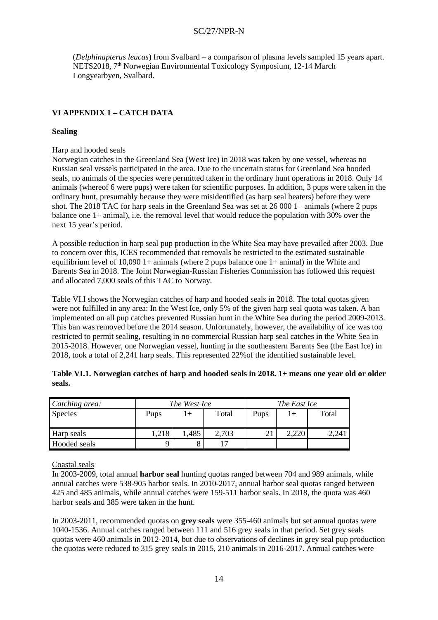(*Delphinapterus leucas*) from Svalbard – a comparison of plasma levels sampled 15 years apart. NETS2018, 7th Norwegian Environmental Toxicology Symposium, 12-14 March Longyearbyen, Svalbard.

# **VI APPENDIX 1 – CATCH DATA**

# **Sealing**

### Harp and hooded seals

Norwegian catches in the Greenland Sea (West Ice) in 2018 was taken by one vessel, whereas no Russian seal vessels participated in the area. Due to the uncertain status for Greenland Sea hooded seals, no animals of the species were permitted taken in the ordinary hunt operations in 2018. Only 14 animals (whereof 6 were pups) were taken for scientific purposes. In addition, 3 pups were taken in the ordinary hunt, presumably because they were misidentified (as harp seal beaters) before they were shot. The 2018 TAC for harp seals in the Greenland Sea was set at 26 000 1+ animals (where 2 pups balance one 1+ animal), i.e. the removal level that would reduce the population with 30% over the next 15 year's period.

A possible reduction in harp seal pup production in the White Sea may have prevailed after 2003. Due to concern over this, ICES recommended that removals be restricted to the estimated sustainable equilibrium level of 10,090 1+ animals (where 2 pups balance one 1+ animal) in the White and Barents Sea in 2018. The Joint Norwegian-Russian Fisheries Commission has followed this request and allocated 7,000 seals of this TAC to Norway.

Table VI.I shows the Norwegian catches of harp and hooded seals in 2018. The total quotas given were not fulfilled in any area: In the West Ice, only 5% of the given harp seal quota was taken. A ban implemented on all pup catches prevented Russian hunt in the White Sea during the period 2009-2013. This ban was removed before the 2014 season. Unfortunately, however, the availability of ice was too restricted to permit sealing, resulting in no commercial Russian harp seal catches in the White Sea in 2015-2018. However, one Norwegian vessel, hunting in the southeastern Barents Sea (the East Ice) in 2018, took a total of 2,241 harp seals. This represented 22%of the identified sustainable level.

| Catching area: |      | The West Ice |       | The East Ice |  |       |  |
|----------------|------|--------------|-------|--------------|--|-------|--|
| <b>Species</b> | Pups |              | Total | Pups         |  | Total |  |
| Harp seals     | ,218 | ,485         | 2,703 |              |  | 2,241 |  |
| Hooded seals   |      |              | רו    |              |  |       |  |

| Table VI.1. Norwegian catches of harp and hooded seals in 2018. 1+ means one year old or older |  |
|------------------------------------------------------------------------------------------------|--|
| seals.                                                                                         |  |

Coastal seals

In 2003-2009, total annual **harbor seal** hunting quotas ranged between 704 and 989 animals, while annual catches were 538-905 harbor seals. In 2010-2017, annual harbor seal quotas ranged between 425 and 485 animals, while annual catches were 159-511 harbor seals. In 2018, the quota was 460 harbor seals and 385 were taken in the hunt.

In 2003-2011, recommended quotas on **grey seals** were 355-460 animals but set annual quotas were 1040-1536. Annual catches ranged between 111 and 516 grey seals in that period. Set grey seals quotas were 460 animals in 2012-2014, but due to observations of declines in grey seal pup production the quotas were reduced to 315 grey seals in 2015, 210 animals in 2016-2017. Annual catches were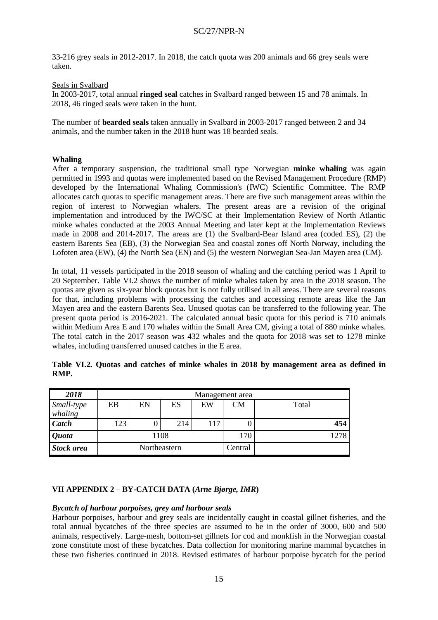33-216 grey seals in 2012-2017. In 2018, the catch quota was 200 animals and 66 grey seals were taken.

# Seals in Svalbard

In 2003-2017, total annual **ringed seal** catches in Svalbard ranged between 15 and 78 animals. In 2018, 46 ringed seals were taken in the hunt.

The number of **bearded seals** taken annually in Svalbard in 2003-2017 ranged between 2 and 34 animals, and the number taken in the 2018 hunt was 18 bearded seals.

# **Whaling**

After a temporary suspension, the traditional small type Norwegian **minke whaling** was again permitted in 1993 and quotas were implemented based on the Revised Management Procedure (RMP) developed by the International Whaling Commission's (IWC) Scientific Committee. The RMP allocates catch quotas to specific management areas. There are five such management areas within the region of interest to Norwegian whalers. The present areas are a revision of the original implementation and introduced by the IWC/SC at their Implementation Review of North Atlantic minke whales conducted at the 2003 Annual Meeting and later kept at the Implementation Reviews made in 2008 and 2014-2017. The areas are (1) the Svalbard-Bear Island area (coded ES), (2) the eastern Barents Sea (EB), (3) the Norwegian Sea and coastal zones off North Norway, including the Lofoten area (EW), (4) the North Sea (EN) and (5) the western Norwegian Sea-Jan Mayen area (CM).

In total, 11 vessels participated in the 2018 season of whaling and the catching period was 1 April to 20 September. Table VI.2 shows the number of minke whales taken by area in the 2018 season. The quotas are given as six-year block quotas but is not fully utilised in all areas. There are several reasons for that, including problems with processing the catches and accessing remote areas like the Jan Mayen area and the eastern Barents Sea. Unused quotas can be transferred to the following year. The present quota period is 2016-2021. The calculated annual basic quota for this period is 710 animals within Medium Area E and 170 whales within the Small Area CM, giving a total of 880 minke whales. The total catch in the 2017 season was 432 whales and the quota for 2018 was set to 1278 minke whales, including transferred unused catches in the E area.

| 2018                  | Management area |    |              |     |         |       |  |  |  |
|-----------------------|-----------------|----|--------------|-----|---------|-------|--|--|--|
| Small-type<br>whaling | EB              | EN | ES           | EW  | CМ      | Total |  |  |  |
| <b>Catch</b>          | 123             |    | 214          | 117 |         | 454   |  |  |  |
| <i><b>Quota</b></i>   |                 |    | 1108         |     | 170     | 1278  |  |  |  |
| <b>Stock area</b>     |                 |    | Northeastern |     | Central |       |  |  |  |

|      |  |  |  |  |  | Table VI.2. Quotas and catches of minke whales in 2018 by management area as defined in |  |  |
|------|--|--|--|--|--|-----------------------------------------------------------------------------------------|--|--|
| RMP. |  |  |  |  |  |                                                                                         |  |  |

# **VII APPENDIX 2 – BY-CATCH DATA (***Arne Bjørge, IMR***)**

### *Bycatch of harbour porpoises, grey and harbour seals*

Harbour porpoises, harbour and grey seals are incidentally caught in coastal gillnet fisheries, and the total annual bycatches of the three species are assumed to be in the order of 3000, 600 and 500 animals, respectively. Large-mesh, bottom-set gillnets for cod and monkfish in the Norwegian coastal zone constitute most of these bycatches. Data collection for monitoring marine mammal bycatches in these two fisheries continued in 2018. Revised estimates of harbour porpoise bycatch for the period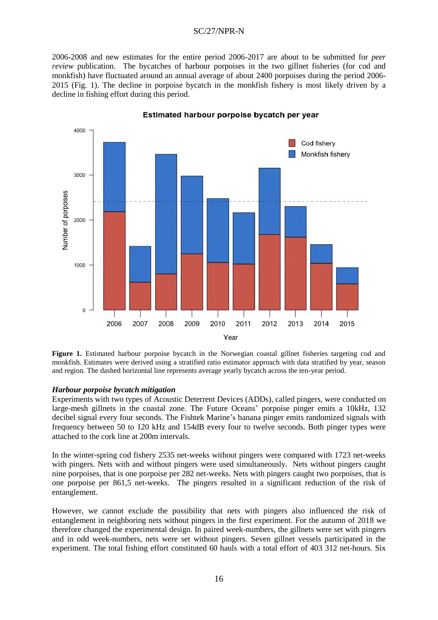2006-2008 and new estimates for the entire period 2006-2017 are about to be submitted for *peer review* publication. The bycatches of harbour porpoises in the two gillnet fisheries (for cod and monkfish) have fluctuated around an annual average of about 2400 porpoises during the period 2006- 2015 (Fig. 1). The decline in porpoise bycatch in the monkfish fishery is most likely driven by a decline in fishing effort during this period.



Estimated harbour porpoise bycatch per year

**Figure 1.** Estimated harbour porpoise bycatch in the Norwegian coastal gillnet fisheries targeting cod and monkfish. Estimates were derived using a stratified ratio estimator approach with data stratified by year, season and region. The dashed horizontal line represents average yearly bycatch across the ten-year period.

### *Harbour porpoise bycatch mitigation*

Experiments with two types of Acoustic Deterrent Devices (ADDs), called pingers, were conducted on large-mesh gillnets in the coastal zone. The Future Oceans' porpoise pinger emits a 10kHz, 132 decibel signal every four seconds. The Fishtek Marine's banana pinger emits randomized signals with frequency between 50 to 120 kHz and 154dB every four to twelve seconds. Both pinger types were attached to the cork line at 200m intervals.

In the winter-spring cod fishery 2535 net-weeks without pingers were compared with 1723 net-weeks with pingers. Nets with and without pingers were used simultaneously. Nets without pingers caught nine porpoises, that is one porpoise per 282 net-weeks. Nets with pingers caught two porpoises, that is one porpoise per 861,5 net-weeks. The pingers resulted in a significant reduction of the risk of entanglement.

However, we cannot exclude the possibility that nets with pingers also influenced the risk of entanglement in neighboring nets without pingers in the first experiment. For the autumn of 2018 we therefore changed the experimental design. In paired week-numbers, the gillnets were set with pingers and in odd week-numbers, nets were set without pingers. Seven gillnet vessels participated in the experiment. The total fishing effort constituted 60 hauls with a total effort of 403 312 net-hours. Six